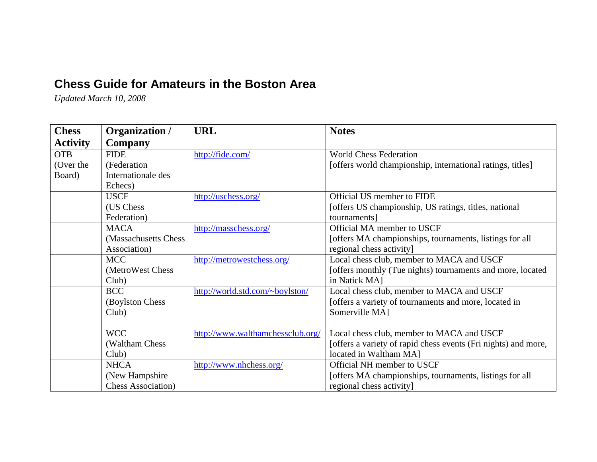## **Chess Guide for Amateurs in the Boston Area**

*Updated March 10, 2008*

| <b>Chess</b>    | Organization /             | <b>URL</b>                       | <b>Notes</b>                                                   |
|-----------------|----------------------------|----------------------------------|----------------------------------------------------------------|
| <b>Activity</b> | Company                    |                                  |                                                                |
| <b>OTB</b>      | <b>FIDE</b>                | http://fide.com/                 | <b>World Chess Federation</b>                                  |
| (Over the       | (Federation                |                                  | [offers world championship, international ratings, titles]     |
| Board)          | Internationale des         |                                  |                                                                |
|                 | Echecs)                    |                                  |                                                                |
|                 | <b>USCF</b>                | http://uschess.org/              | Official US member to FIDE                                     |
|                 | (US Chess)                 |                                  | [offers US championship, US ratings, titles, national          |
|                 | Federation)                |                                  | tournaments]                                                   |
|                 | <b>MACA</b>                | http://masschess.org/            | Official MA member to USCF                                     |
|                 | (Massachusetts Chess)      |                                  | [offers MA championships, tournaments, listings for all        |
|                 | Association)               |                                  | regional chess activity]                                       |
|                 | <b>MCC</b>                 | http://metrowestchess.org/       | Local chess club, member to MACA and USCF                      |
|                 | (MetroWest Chess)          |                                  | [offers monthly (Tue nights) tournaments and more, located     |
|                 | Club)                      |                                  | in Natick MA1                                                  |
|                 | <b>BCC</b>                 | http://world.std.com/~boylston/  | Local chess club, member to MACA and USCF                      |
|                 | (Boylston Chess)           |                                  | [offers a variety of tournaments and more, located in          |
|                 | Club)                      |                                  | Somerville MA]                                                 |
|                 |                            |                                  |                                                                |
|                 | <b>WCC</b>                 | http://www.walthamchessclub.org/ | Local chess club, member to MACA and USCF                      |
|                 | (Waltham Chess)            |                                  | [offers a variety of rapid chess events (Fri nights) and more, |
|                 | Club)                      |                                  | located in Waltham MA]                                         |
|                 | <b>NHCA</b>                | http://www.nhchess.org/          | Official NH member to USCF                                     |
|                 | (New Hampshire)            |                                  | [offers MA championships, tournaments, listings for all        |
|                 | <b>Chess Association</b> ) |                                  | regional chess activity                                        |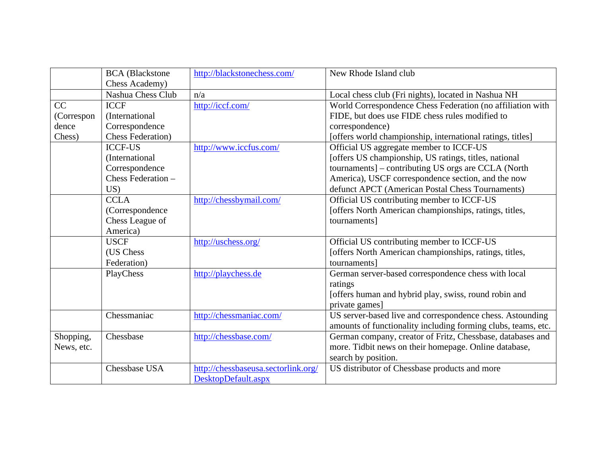|            | <b>BCA</b> (Blackstone    | http://blackstonechess.com/         | New Rhode Island club                                         |
|------------|---------------------------|-------------------------------------|---------------------------------------------------------------|
|            | Chess Academy)            |                                     |                                                               |
|            | Nashua Chess Club         | n/a                                 | Local chess club (Fri nights), located in Nashua NH           |
| CC         | <b>ICCF</b>               | http://iccf.com/                    | World Correspondence Chess Federation (no affiliation with    |
| (Correspon | (International            |                                     | FIDE, but does use FIDE chess rules modified to               |
| dence      | Correspondence            |                                     | correspondence)                                               |
| Chess)     | <b>Chess Federation</b> ) |                                     | [offers world championship, international ratings, titles]    |
|            | <b>ICCF-US</b>            | http://www.iccfus.com/              | Official US aggregate member to ICCF-US                       |
|            | (International            |                                     | [offers US championship, US ratings, titles, national         |
|            | Correspondence            |                                     | tournaments] - contributing US orgs are CCLA (North           |
|            | Chess Federation -        |                                     | America), USCF correspondence section, and the now            |
|            | US)                       |                                     | defunct APCT (American Postal Chess Tournaments)              |
|            | <b>CCLA</b>               | http://chessbymail.com/             | Official US contributing member to ICCF-US                    |
|            | (Correspondence           |                                     | [offers North American championships, ratings, titles,        |
|            | Chess League of           |                                     | tournaments]                                                  |
|            | America)                  |                                     |                                                               |
|            | <b>USCF</b>               | http://uschess.org/                 | Official US contributing member to ICCF-US                    |
|            | (US Chess                 |                                     | [offers North American championships, ratings, titles,        |
|            | Federation)               |                                     | tournaments]                                                  |
|            | PlayChess                 | http://playchess.de                 | German server-based correspondence chess with local           |
|            |                           |                                     | ratings                                                       |
|            |                           |                                     | [offers human and hybrid play, swiss, round robin and         |
|            |                           |                                     | private games]                                                |
|            | Chessmaniac               | http://chessmaniac.com/             | US server-based live and correspondence chess. Astounding     |
|            |                           |                                     | amounts of functionality including forming clubs, teams, etc. |
| Shopping,  | Chessbase                 | http://chessbase.com/               | German company, creator of Fritz, Chessbase, databases and    |
| News, etc. |                           |                                     | more. Tidbit news on their homepage. Online database,         |
|            |                           |                                     | search by position.                                           |
|            | Chessbase USA             | http://chessbaseusa.sectorlink.org/ | US distributor of Chessbase products and more                 |
|            |                           | DesktopDefault.aspx                 |                                                               |